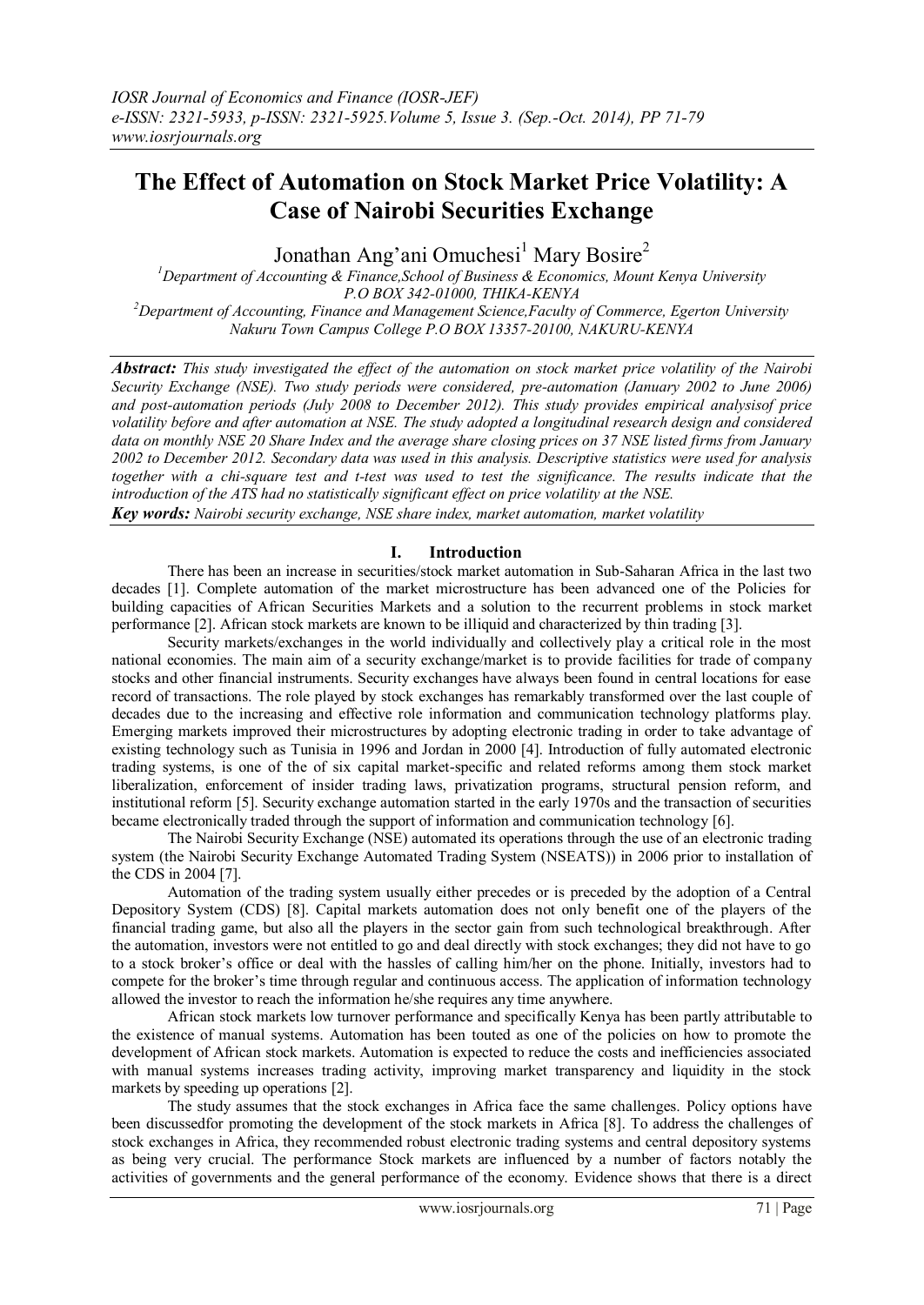# **The Effect of Automation on Stock Market Price Volatility: A Case of Nairobi Securities Exchange**

Jonathan Ang'ani Omuchesi<sup>1</sup> Mary Bosire<sup>2</sup>

*<sup>1</sup>Department of Accounting & Finance,School of Business & Economics, Mount Kenya University P.O BOX 342-01000, THIKA-KENYA <sup>2</sup>Department of Accounting, Finance and Management Science,Faculty of Commerce, Egerton University Nakuru Town Campus College P.O BOX 13357-20100, NAKURU-KENYA*

*Abstract: This study investigated the effect of the automation on stock market price volatility of the Nairobi Security Exchange (NSE). Two study periods were considered, pre-automation (January 2002 to June 2006) and post-automation periods (July 2008 to December 2012). This study provides empirical analysisof price volatility before and after automation at NSE. The study adopted a longitudinal research design and considered data on monthly NSE 20 Share Index and the average share closing prices on 37 NSE listed firms from January 2002 to December 2012. Secondary data was used in this analysis. Descriptive statistics were used for analysis together with a chi-square test and t-test was used to test the significance. The results indicate that the introduction of the ATS had no statistically significant effect on price volatility at the NSE.* 

*Key words: Nairobi security exchange, NSE share index, market automation, market volatility*

### **I. Introduction**

There has been an increase in securities/stock market automation in Sub-Saharan Africa in the last two decades [1]. Complete automation of the market microstructure has been advanced one of the Policies for building capacities of African Securities Markets and a solution to the recurrent problems in stock market performance [2]. African stock markets are known to be illiquid and characterized by thin trading [3].

Security markets/exchanges in the world individually and collectively play a critical role in the most national economies. The main aim of a security exchange/market is to provide facilities for trade of company stocks and other financial instruments. Security exchanges have always been found in central locations for ease record of transactions. The role played by stock exchanges has remarkably transformed over the last couple of decades due to the increasing and effective role information and communication technology platforms play. Emerging markets improved their microstructures by adopting electronic trading in order to take advantage of existing technology such as Tunisia in 1996 and Jordan in 2000 [4]. Introduction of fully automated electronic trading systems, is one of the of six capital market-specific and related reforms among them stock market liberalization, enforcement of insider trading laws, privatization programs, structural pension reform, and institutional reform [5]. Security exchange automation started in the early 1970s and the transaction of securities became electronically traded through the support of information and communication technology [6].

The Nairobi Security Exchange (NSE) automated its operations through the use of an electronic trading system (the Nairobi Security Exchange Automated Trading System (NSEATS)) in 2006 prior to installation of the CDS in 2004 [7].

Automation of the trading system usually either precedes or is preceded by the adoption of a Central Depository System (CDS) [8]. Capital markets automation does not only benefit one of the players of the financial trading game, but also all the players in the sector gain from such technological breakthrough. After the automation, investors were not entitled to go and deal directly with stock exchanges; they did not have to go to a stock broker's office or deal with the hassles of calling him/her on the phone. Initially, investors had to compete for the broker's time through regular and continuous access. The application of information technology allowed the investor to reach the information he/she requires any time anywhere.

African stock markets low turnover performance and specifically Kenya has been partly attributable to the existence of manual systems. Automation has been touted as one of the policies on how to promote the development of African stock markets. Automation is expected to reduce the costs and inefficiencies associated with manual systems increases trading activity, improving market transparency and liquidity in the stock markets by speeding up operations [2].

The study assumes that the stock exchanges in Africa face the same challenges. Policy options have been discussedfor promoting the development of the stock markets in Africa [8]. To address the challenges of stock exchanges in Africa, they recommended robust electronic trading systems and central depository systems as being very crucial. The performance Stock markets are influenced by a number of factors notably the activities of governments and the general performance of the economy. Evidence shows that there is a direct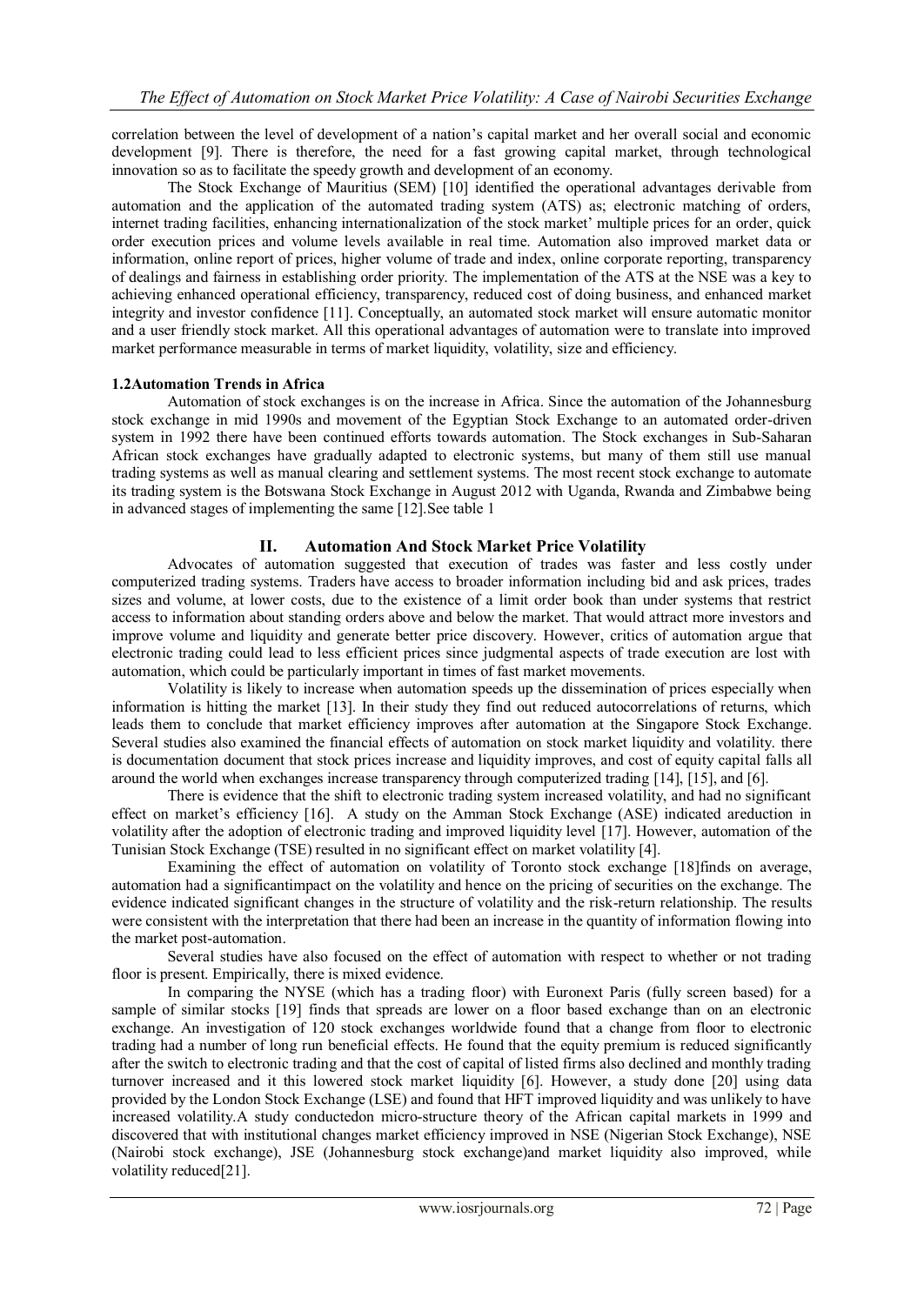correlation between the level of development of a nation's capital market and her overall social and economic development [9]. There is therefore, the need for a fast growing capital market, through technological innovation so as to facilitate the speedy growth and development of an economy.

The Stock Exchange of Mauritius (SEM) [10] identified the operational advantages derivable from automation and the application of the automated trading system (ATS) as; electronic matching of orders, internet trading facilities, enhancing internationalization of the stock market' multiple prices for an order, quick order execution prices and volume levels available in real time. Automation also improved market data or information, online report of prices, higher volume of trade and index, online corporate reporting, transparency of dealings and fairness in establishing order priority. The implementation of the ATS at the NSE was a key to achieving enhanced operational efficiency, transparency, reduced cost of doing business, and enhanced market integrity and investor confidence [11]. Conceptually, an automated stock market will ensure automatic monitor and a user friendly stock market. All this operational advantages of automation were to translate into improved market performance measurable in terms of market liquidity, volatility, size and efficiency.

### **1.2Automation Trends in Africa**

Automation of stock exchanges is on the increase in Africa. Since the automation of the Johannesburg stock exchange in mid 1990s and movement of the Egyptian Stock Exchange to an automated order-driven system in 1992 there have been continued efforts towards automation. The Stock exchanges in Sub-Saharan African stock exchanges have gradually adapted to electronic systems, but many of them still use manual trading systems as well as manual clearing and settlement systems. The most recent stock exchange to automate its trading system is the Botswana Stock Exchange in August 2012 with Uganda, Rwanda and Zimbabwe being in advanced stages of implementing the same [12].See table 1

## **II. Automation And Stock Market Price Volatility**

Advocates of automation suggested that execution of trades was faster and less costly under computerized trading systems. Traders have access to broader information including bid and ask prices, trades sizes and volume, at lower costs, due to the existence of a limit order book than under systems that restrict access to information about standing orders above and below the market. That would attract more investors and improve volume and liquidity and generate better price discovery. However, critics of automation argue that electronic trading could lead to less efficient prices since judgmental aspects of trade execution are lost with automation, which could be particularly important in times of fast market movements.

Volatility is likely to increase when automation speeds up the dissemination of prices especially when information is hitting the market [13]. In their study they find out reduced autocorrelations of returns, which leads them to conclude that market efficiency improves after automation at the Singapore Stock Exchange. Several studies also examined the financial effects of automation on stock market liquidity and volatility. there is documentation document that stock prices increase and liquidity improves, and cost of equity capital falls all around the world when exchanges increase transparency through computerized trading [14], [15], and [6].

There is evidence that the shift to electronic trading system increased volatility, and had no significant effect on market's efficiency [16]. A study on the Amman Stock Exchange (ASE) indicated areduction in volatility after the adoption of electronic trading and improved liquidity level [17]. However, automation of the Tunisian Stock Exchange (TSE) resulted in no significant effect on market volatility [4].

Examining the effect of automation on volatility of Toronto stock exchange [18]finds on average, automation had a significantimpact on the volatility and hence on the pricing of securities on the exchange. The evidence indicated significant changes in the structure of volatility and the risk-return relationship. The results were consistent with the interpretation that there had been an increase in the quantity of information flowing into the market post-automation.

Several studies have also focused on the effect of automation with respect to whether or not trading floor is present. Empirically, there is mixed evidence.

In comparing the NYSE (which has a trading floor) with Euronext Paris (fully screen based) for a sample of similar stocks [19] finds that spreads are lower on a floor based exchange than on an electronic exchange. An investigation of 120 stock exchanges worldwide found that a change from floor to electronic trading had a number of long run beneficial effects. He found that the equity premium is reduced significantly after the switch to electronic trading and that the cost of capital of listed firms also declined and monthly trading turnover increased and it this lowered stock market liquidity [6]. However, a study done [20] using data provided by the London Stock Exchange (LSE) and found that HFT improved liquidity and was unlikely to have increased volatility.A study conductedon micro-structure theory of the African capital markets in 1999 and discovered that with institutional changes market efficiency improved in NSE (Nigerian Stock Exchange), NSE (Nairobi stock exchange), JSE (Johannesburg stock exchange)and market liquidity also improved, while volatility reduced[21].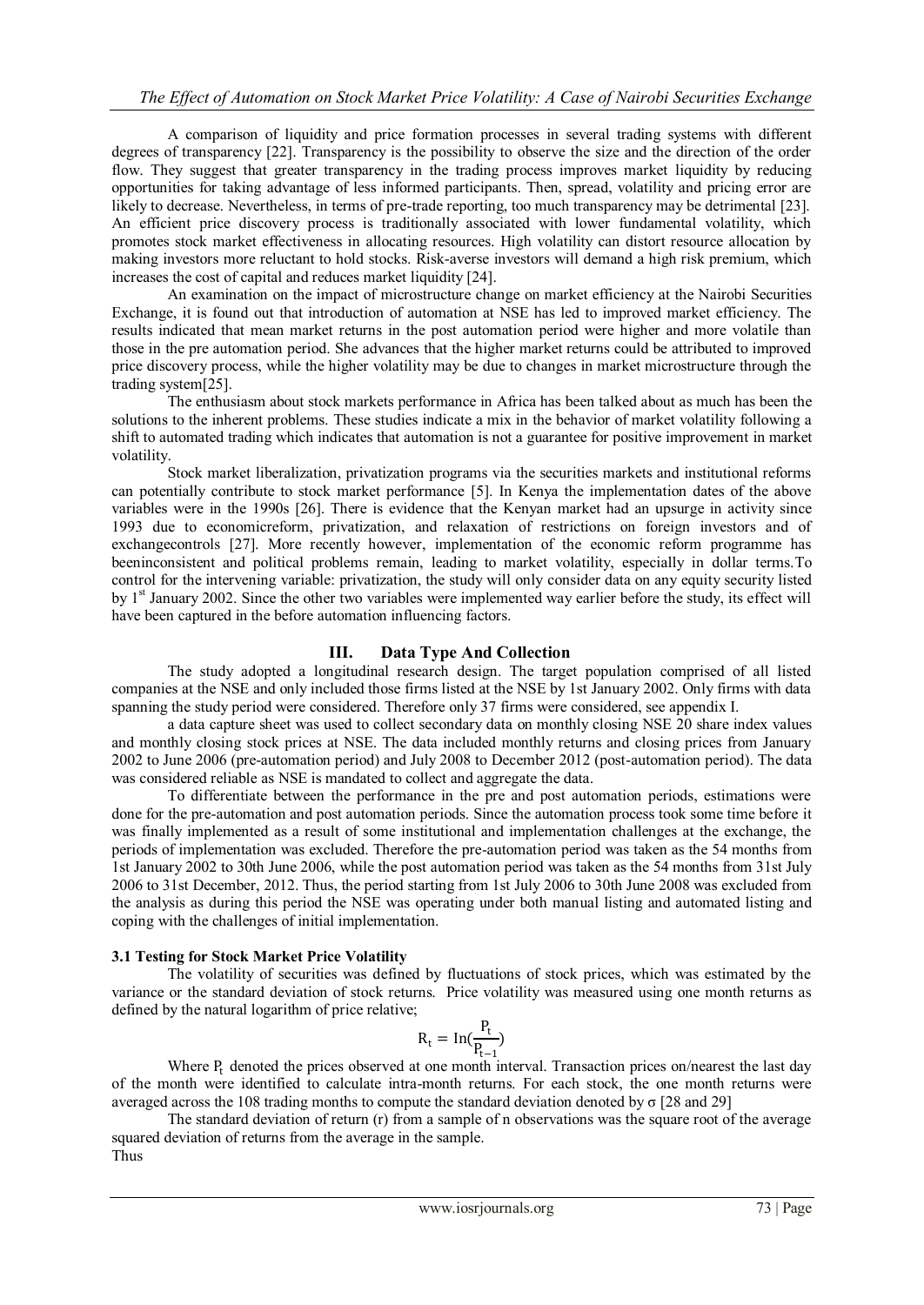A comparison of liquidity and price formation processes in several trading systems with different degrees of transparency [22]. Transparency is the possibility to observe the size and the direction of the order flow. They suggest that greater transparency in the trading process improves market liquidity by reducing opportunities for taking advantage of less informed participants. Then, spread, volatility and pricing error are likely to decrease. Nevertheless, in terms of pre-trade reporting, too much transparency may be detrimental [23]. An efficient price discovery process is traditionally associated with lower fundamental volatility, which promotes stock market effectiveness in allocating resources. High volatility can distort resource allocation by making investors more reluctant to hold stocks. Risk-averse investors will demand a high risk premium, which increases the cost of capital and reduces market liquidity [24].

An examination on the impact of microstructure change on market efficiency at the Nairobi Securities Exchange, it is found out that introduction of automation at NSE has led to improved market efficiency. The results indicated that mean market returns in the post automation period were higher and more volatile than those in the pre automation period. She advances that the higher market returns could be attributed to improved price discovery process, while the higher volatility may be due to changes in market microstructure through the trading system[25].

The enthusiasm about stock markets performance in Africa has been talked about as much has been the solutions to the inherent problems. These studies indicate a mix in the behavior of market volatility following a shift to automated trading which indicates that automation is not a guarantee for positive improvement in market volatility.

Stock market liberalization, privatization programs via the securities markets and institutional reforms can potentially contribute to stock market performance [5]. In Kenya the implementation dates of the above variables were in the 1990s [26]. There is evidence that the Kenyan market had an upsurge in activity since 1993 due to economicreform, privatization, and relaxation of restrictions on foreign investors and of exchangecontrols [27]. More recently however, implementation of the economic reform programme has beeninconsistent and political problems remain, leading to market volatility, especially in dollar terms.To control for the intervening variable: privatization, the study will only consider data on any equity security listed by 1<sup>st</sup> January 2002. Since the other two variables were implemented way earlier before the study, its effect will have been captured in the before automation influencing factors.

# **III. Data Type And Collection**

The study adopted a longitudinal research design. The target population comprised of all listed companies at the NSE and only included those firms listed at the NSE by 1st January 2002. Only firms with data spanning the study period were considered. Therefore only 37 firms were considered, see appendix I.

a data capture sheet was used to collect secondary data on monthly closing NSE 20 share index values and monthly closing stock prices at NSE. The data included monthly returns and closing prices from January 2002 to June 2006 (pre-automation period) and July 2008 to December 2012 (post-automation period). The data was considered reliable as NSE is mandated to collect and aggregate the data.

To differentiate between the performance in the pre and post automation periods, estimations were done for the pre-automation and post automation periods. Since the automation process took some time before it was finally implemented as a result of some institutional and implementation challenges at the exchange, the periods of implementation was excluded. Therefore the pre-automation period was taken as the 54 months from 1st January 2002 to 30th June 2006, while the post automation period was taken as the 54 months from 31st July 2006 to 31st December, 2012. Thus, the period starting from 1st July 2006 to 30th June 2008 was excluded from the analysis as during this period the NSE was operating under both manual listing and automated listing and coping with the challenges of initial implementation.

## **3.1 Testing for Stock Market Price Volatility**

The volatility of securities was defined by fluctuations of stock prices, which was estimated by the variance or the standard deviation of stock returns. Price volatility was measured using one month returns as defined by the natural logarithm of price relative;

$$
R_t = \text{In}(\frac{P_t}{P_{t-1}})
$$

Where P<sub>t</sub> denoted the prices observed at one month interval. Transaction prices on/nearest the last day of the month were identified to calculate intra-month returns. For each stock, the one month returns were averaged across the 108 trading months to compute the standard deviation denoted by σ [28 and 29]

The standard deviation of return (r) from a sample of n observations was the square root of the average squared deviation of returns from the average in the sample. Thus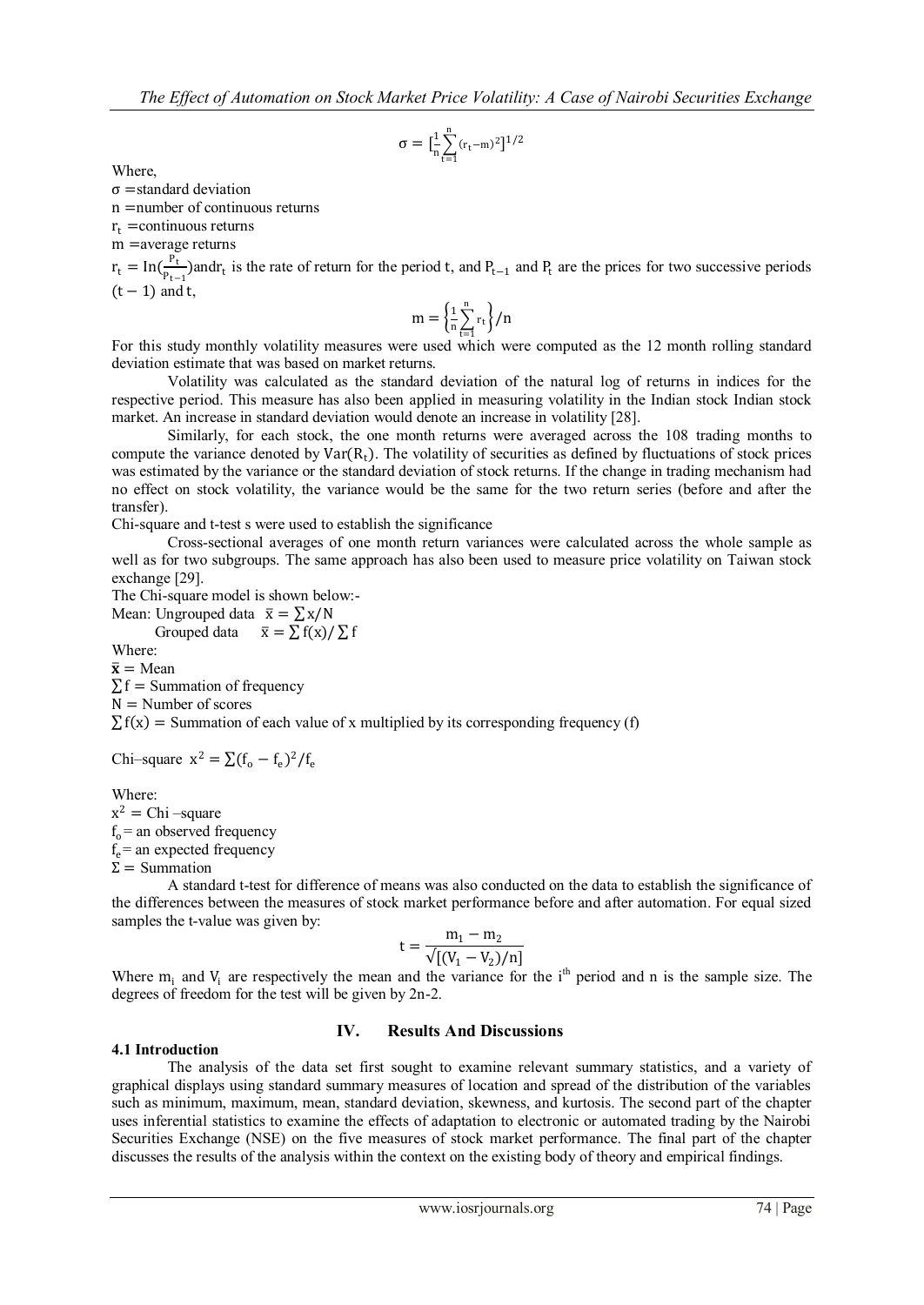$$
\sigma = [\frac{1}{n}\sum_{t=1}^n (r_t - m)^2]^{1/2}
$$

Where,

 $\sigma$  =standard deviation

n =number of continuous returns

 $r_t$  =continuous returns

m =average returns

 $r_t = \ln(\frac{P_t}{P_t})$  $\frac{P_{t-1}}{P_{t-1}}$ ) and  $r_t$  is the rate of return for the period t, and  $P_{t-1}$  and  $P_t$  are the prices for two successive periods  $(t - 1)$  and t,

$$
m = \left\{\frac{1}{n}\sum_{t=1}^n r_t\right\}/n
$$

For this study monthly volatility measures were used which were computed as the 12 month rolling standard deviation estimate that was based on market returns.

Volatility was calculated as the standard deviation of the natural log of returns in indices for the respective period. This measure has also been applied in measuring volatility in the Indian stock Indian stock market. An increase in standard deviation would denote an increase in volatility [28].

Similarly, for each stock, the one month returns were averaged across the 108 trading months to compute the variance denoted by  $Var(R_t)$ . The volatility of securities as defined by fluctuations of stock prices was estimated by the variance or the standard deviation of stock returns. If the change in trading mechanism had no effect on stock volatility, the variance would be the same for the two return series (before and after the transfer).

Chi-square and t-test s were used to establish the significance

Cross-sectional averages of one month return variances were calculated across the whole sample as well as for two subgroups. The same approach has also been used to measure price volatility on Taiwan stock exchange [29].

The Chi-square model is shown below:-

Mean: Ungrouped data  $\bar{x} = \sum x/N$ 

Grouped data  $\overline{x} = \sum f(x)/\sum f$ 

Where:  $\bar{\mathbf{x}}$  = Mean  $\Sigma$  f = Summation of frequency

 $N =$  Number of scores

 $\sum f(x)$  = Summation of each value of x multiplied by its corresponding frequency (f)

Chi–square  $x^2 = \sum (f_o - f_e)^2 / f_e$ 

Where:  $x^2 =$ Chi –square  $f_0$  = an observed frequency  $f_e$  = an expected frequency  $Σ = Summation$ 

A standard t-test for difference of means was also conducted on the data to establish the significance of the differences between the measures of stock market performance before and after automation. For equal sized samples the t-value was given by:

$$
t = \frac{m_1 - m_2}{\sqrt{[(V_1 - V_2)/n]}}
$$

Where  $m_i$  and  $V_i$  are respectively the mean and the variance for the i<sup>th</sup> period and n is the sample size. The degrees of freedom for the test will be given by 2n-2.

### **IV. Results And Discussions**

#### **4.1 Introduction**

The analysis of the data set first sought to examine relevant summary statistics, and a variety of graphical displays using standard summary measures of location and spread of the distribution of the variables such as minimum, maximum, mean, standard deviation, skewness, and kurtosis. The second part of the chapter uses inferential statistics to examine the effects of adaptation to electronic or automated trading by the Nairobi Securities Exchange (NSE) on the five measures of stock market performance. The final part of the chapter discusses the results of the analysis within the context on the existing body of theory and empirical findings.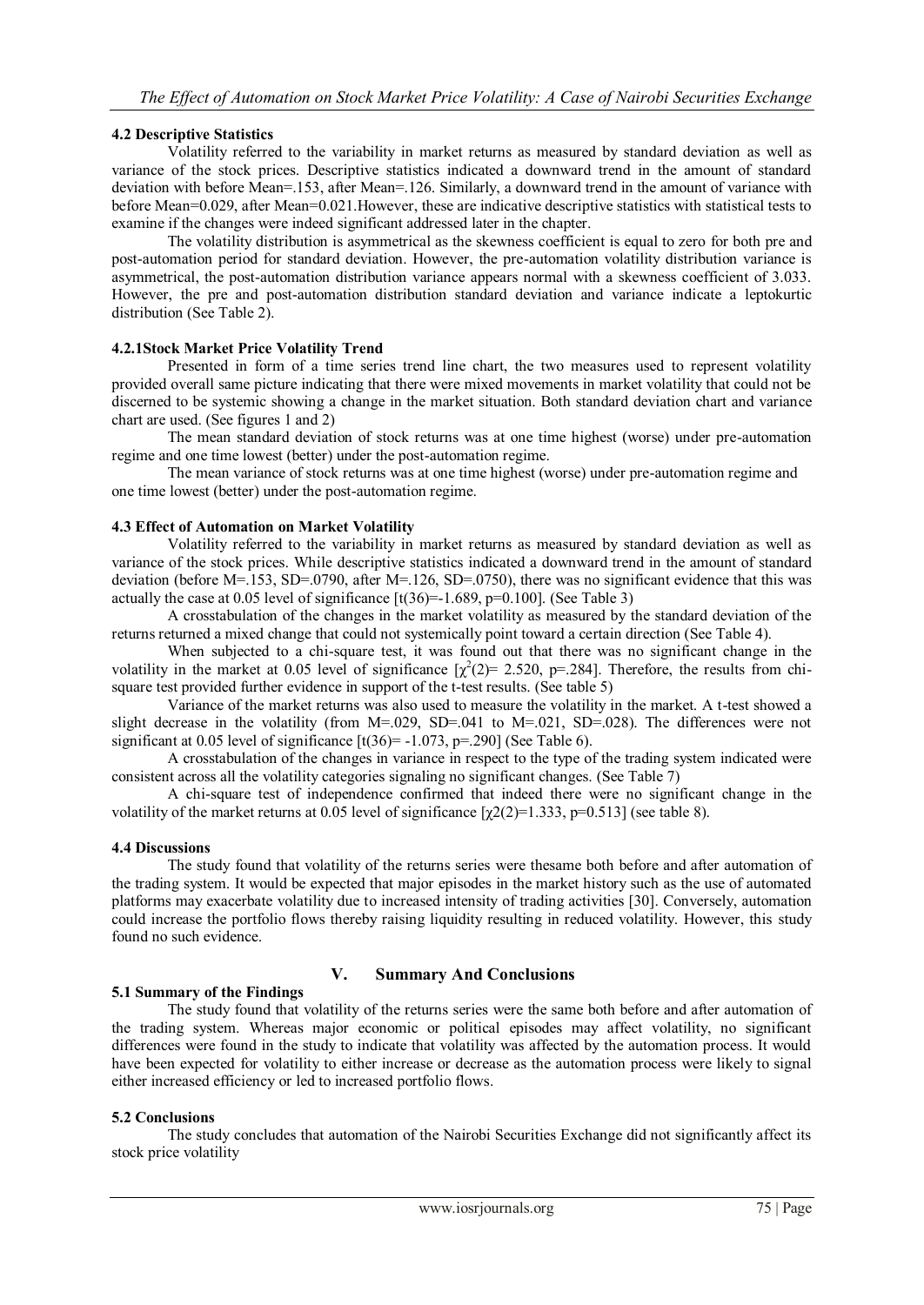## **4.2 Descriptive Statistics**

Volatility referred to the variability in market returns as measured by standard deviation as well as variance of the stock prices. Descriptive statistics indicated a downward trend in the amount of standard deviation with before Mean=.153, after Mean=.126. Similarly, a downward trend in the amount of variance with before Mean=0.029, after Mean=0.021.However, these are indicative descriptive statistics with statistical tests to examine if the changes were indeed significant addressed later in the chapter.

The volatility distribution is asymmetrical as the skewness coefficient is equal to zero for both pre and post-automation period for standard deviation. However, the pre-automation volatility distribution variance is asymmetrical, the post-automation distribution variance appears normal with a skewness coefficient of 3.033. However, the pre and post-automation distribution standard deviation and variance indicate a leptokurtic distribution (See Table 2).

### **4.2.1Stock Market Price Volatility Trend**

Presented in form of a time series trend line chart, the two measures used to represent volatility provided overall same picture indicating that there were mixed movements in market volatility that could not be discerned to be systemic showing a change in the market situation. Both standard deviation chart and variance chart are used. (See figures 1 and 2)

The mean standard deviation of stock returns was at one time highest (worse) under pre-automation regime and one time lowest (better) under the post-automation regime.

The mean variance of stock returns was at one time highest (worse) under pre-automation regime and one time lowest (better) under the post-automation regime.

### **4.3 Effect of Automation on Market Volatility**

Volatility referred to the variability in market returns as measured by standard deviation as well as variance of the stock prices. While descriptive statistics indicated a downward trend in the amount of standard deviation (before M=.153, SD=.0790, after M=.126, SD=.0750), there was no significant evidence that this was actually the case at 0.05 level of significance  $\lbrack t(36)=1.689, p=0.100 \rbrack$ . (See Table 3)

A crosstabulation of the changes in the market volatility as measured by the standard deviation of the returns returned a mixed change that could not systemically point toward a certain direction (See Table 4).

When subjected to a chi-square test, it was found out that there was no significant change in the volatility in the market at 0.05 level of significance  $[\chi^2(2) = 2.520, p = 284]$ . Therefore, the results from chisquare test provided further evidence in support of the t-test results. (See table 5)

Variance of the market returns was also used to measure the volatility in the market. A t-test showed a slight decrease in the volatility (from M=.029, SD=.041 to M=.021, SD=.028). The differences were not significant at 0.05 level of significance  $[t(36)= -1.073, p=.290]$  (See Table 6).

A crosstabulation of the changes in variance in respect to the type of the trading system indicated were consistent across all the volatility categories signaling no significant changes. (See Table 7)

A chi-square test of independence confirmed that indeed there were no significant change in the volatility of the market returns at 0.05 level of significance  $[\chi(2)]$  = 1.333, p=0.513] (see table 8).

### **4.4 Discussions**

The study found that volatility of the returns series were thesame both before and after automation of the trading system. It would be expected that major episodes in the market history such as the use of automated platforms may exacerbate volatility due to increased intensity of trading activities [30]. Conversely, automation could increase the portfolio flows thereby raising liquidity resulting in reduced volatility. However, this study found no such evidence.

# **V. Summary And Conclusions**

# **5.1 Summary of the Findings**

The study found that volatility of the returns series were the same both before and after automation of the trading system. Whereas major economic or political episodes may affect volatility, no significant differences were found in the study to indicate that volatility was affected by the automation process. It would have been expected for volatility to either increase or decrease as the automation process were likely to signal either increased efficiency or led to increased portfolio flows.

## **5.2 Conclusions**

The study concludes that automation of the Nairobi Securities Exchange did not significantly affect its stock price volatility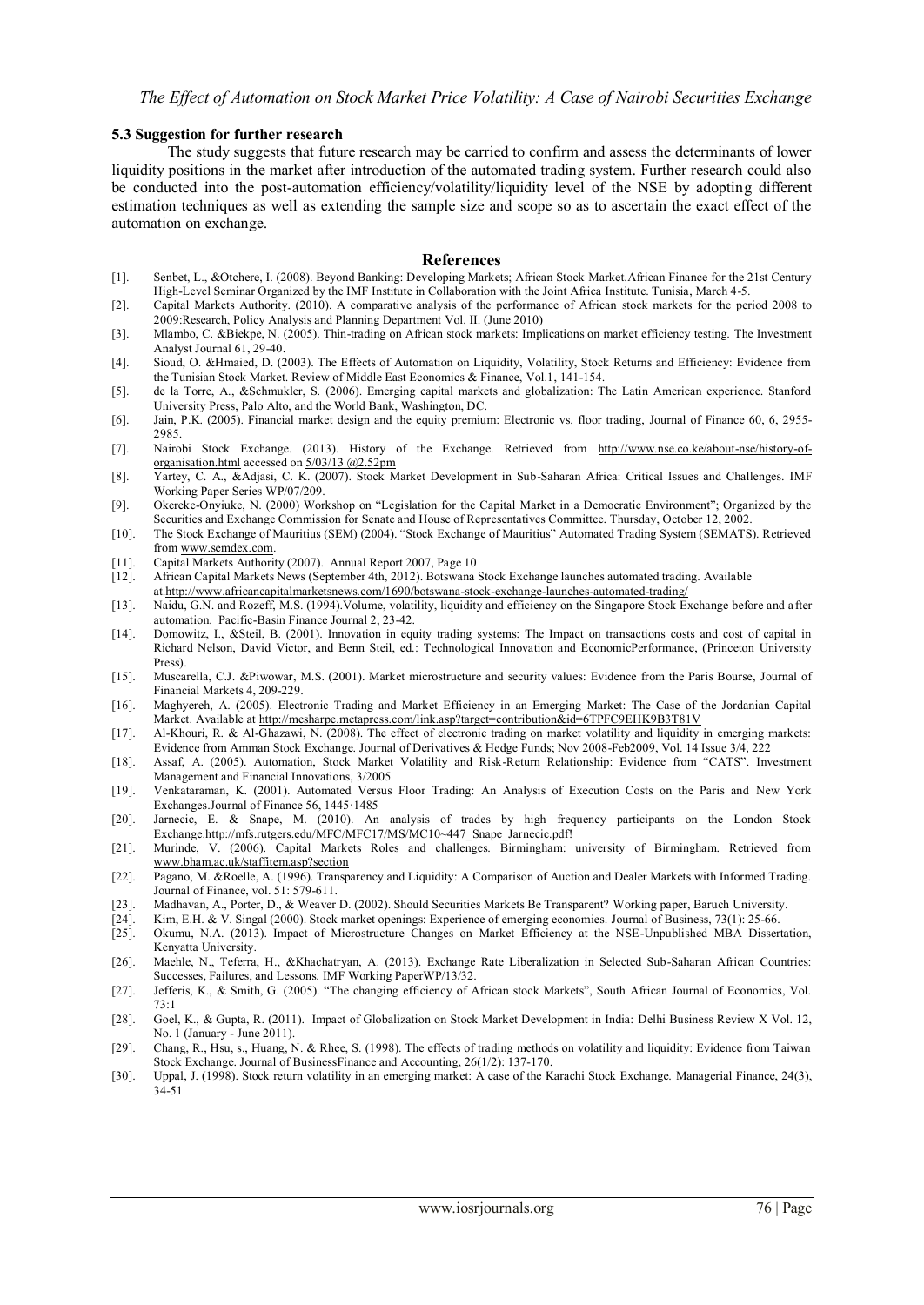#### **5.3 Suggestion for further research**

The study suggests that future research may be carried to confirm and assess the determinants of lower liquidity positions in the market after introduction of the automated trading system. Further research could also be conducted into the post-automation efficiency/volatility/liquidity level of the NSE by adopting different estimation techniques as well as extending the sample size and scope so as to ascertain the exact effect of the automation on exchange.

### **References**

- [1]. Senbet, L., &Otchere, I. (2008). Beyond Banking: Developing Markets; African Stock Market.African Finance for the 21st Century High-Level Seminar Organized by the IMF Institute in Collaboration with the Joint Africa Institute. Tunisia, March 4-5.
- [2]. Capital Markets Authority. (2010). A comparative analysis of the performance of African stock markets for the period 2008 to 2009:Research, Policy Analysis and Planning Department Vol. II. (June 2010)
- [3]. Mlambo, C. &Biekpe, N. (2005). Thin-trading on African stock markets: Implications on market efficiency testing. The Investment Analyst Journal 61, 29-40.
- [4]. Sioud, O. &Hmaied, D. (2003). The Effects of Automation on Liquidity, Volatility, Stock Returns and Efficiency: Evidence from the Tunisian Stock Market. Review of Middle East Economics & Finance, Vol.1, 141-154.
- [5]. de la Torre, A., &Schmukler, S. (2006). Emerging capital markets and globalization: The Latin American experience. Stanford University Press, Palo Alto, and the World Bank, Washington, DC.
- [6]. Jain, P.K. (2005). Financial market design and the equity premium: Electronic vs. floor trading, Journal of Finance 60, 6, 2955- 2985.
- [7]. Nairobi Stock Exchange. (2013). History of the Exchange. Retrieved from [http://www.nse.co.ke/about-nse/history-of](http://www.nse.co.ke/about-nse/history-of-organisation.html)[organisation.html](http://www.nse.co.ke/about-nse/history-of-organisation.html) accessed o[n 5/03/13 @2.52pm](mailto:5/7/12@2.52pm)
- [8]. Yartey, C. A., &Adjasi, C. K. (2007). Stock Market Development in Sub-Saharan Africa: Critical Issues and Challenges. IMF Working Paper Series WP/07/209.
- [9]. Okereke-Onyiuke, N. (2000) Workshop on "Legislation for the Capital Market in a Democratic Environment"; Organized by the Securities and Exchange Commission for Senate and House of Representatives Committee. Thursday, October 12, 2002.
- [10]. The Stock Exchange of Mauritius (SEM) (2004). "Stock Exchange of Mauritius" Automated Trading System (SEMATS). Retrieved fro[m www.semdex.com.](http://www.semdex.com/)
- [11]. Capital Markets Authority (2007). Annual Report 2007, Page 10
- [12]. African Capital Markets News (September 4th, 2012). Botswana Stock Exchange launches automated trading. Available
- at[.http://www.africancapitalmarketsnews.com/1690/botswana-stock-exchange-launches-automated-trading/](http://www.africancapitalmarketsnews.com/1690/botswana-stock-exchange-launches-automated-trading/)
- [13]. Naidu, G.N. and Rozeff, M.S. (1994).Volume, volatility, liquidity and efficiency on the Singapore Stock Exchange before and a fter automation. Pacific-Basin Finance Journal 2, 23-42.
- [14]. Domowitz, I., &Steil, B. (2001). Innovation in equity trading systems: The Impact on transactions costs and cost of capital in Richard Nelson, David Victor, and Benn Steil, ed.: Technological Innovation and EconomicPerformance, (Princeton University Press).
- [15]. Muscarella, C.J. &Piwowar, M.S. (2001). Market microstructure and security values: Evidence from the Paris Bourse, Journal of Financial Markets 4, 209-229.
- [16]. [Maghyereh,](https://uaeu.academia.edu/AkthamMaghyereh) A. (2005). Electronic Trading and Market Efficiency in an Emerging Market: The Case of the Jordanian Capital Market. Available at<http://mesharpe.metapress.com/link.asp?target=contribution&id=6TPFC9EHK9B3T81V>
- [17]. Al-Khouri, R. & Al-Ghazawi, N. (2008). The effect of electronic trading on market volatility and liquidity in emerging markets: Evidence from Amman Stock Exchange. Journal of Derivatives & Hedge Funds; Nov 2008-Feb2009, Vol. 14 Issue 3/4, 222
- [18]. Assaf, A. (2005). Automation, Stock Market Volatility and Risk-Return Relationship: Evidence from "CATS". Investment Management and Financial Innovations, 3/2005
- [19]. Venkataraman, K. (2001). Automated Versus Floor Trading: An Analysis of Execution Costs on the Paris and New York Exchanges.Journal of Finance 56, 1445·1485
- [20]. Jarnecic, E. & Snape, M. (2010). An analysis of trades by high frequency participants on the London Stock Exchang[e.http://mfs.rutgers.edu/MFC/MFC17/MS/MC10~447\\_Snape\\_Jarnecic.pdf!](http://mfs.rutgers.edu/MFC/MFC17/MS/MC10~447_Snape_Jarnecic.pdf)
- [21]. Murinde, V. (2006). Capital Markets Roles and challenges. Birmingham: university of Birmingham. Retrieved from [www.bham.ac.uk/staffitem.asp?section](http://www.bham.ac.uk/staffitem.asp?section)
- [22]. Pagano, M. &Roelle, A. (1996). Transparency and Liquidity: A Comparison of Auction and Dealer Markets with Informed Trading. Journal of Finance, vol. 51: 579-611.
- [23]. Madhavan, A., Porter, D., & Weaver D. (2002). Should Securities Markets Be Transparent? Working paper, Baruch University.
- [24]. Kim, E.H. & V. Singal (2000). Stock market openings: Experience of emerging economies. Journal of Business, 73(1): 25-66.
- [25]. Okumu, N.A. (2013). Impact of Microstructure Changes on Market Efficiency at the NSE-Unpublished MBA Dissertation, Kenyatta University.
- [26]. Maehle, N., Teferra, H., &Khachatryan, A. (2013). Exchange Rate Liberalization in Selected Sub-Saharan African Countries: Successes, Failures, and Lessons. IMF Working PaperWP/13/32.
- [27]. Jefferis, K., & Smith, G. (2005). "The changing efficiency of African stock Markets", South African Journal of Economics, Vol. 73:1
- [28]. Goel, K., & Gupta, R. (2011). Impact of Globalization on Stock Market Development in India: Delhi Business Review X Vol. 12, No. 1 (January - June 2011).
- [29]. Chang, R., Hsu, s., Huang, N. & Rhee, S. (1998). The effects of trading methods on volatility and liquidity: Evidence from Taiwan Stock Exchange. Journal of BusinessFinance and Accounting, 26(1/2): 137-170.
- [30]. Uppal, J. (1998). Stock return volatility in an emerging market: A case of the Karachi Stock Exchange. Managerial Finance, 24(3), 34-51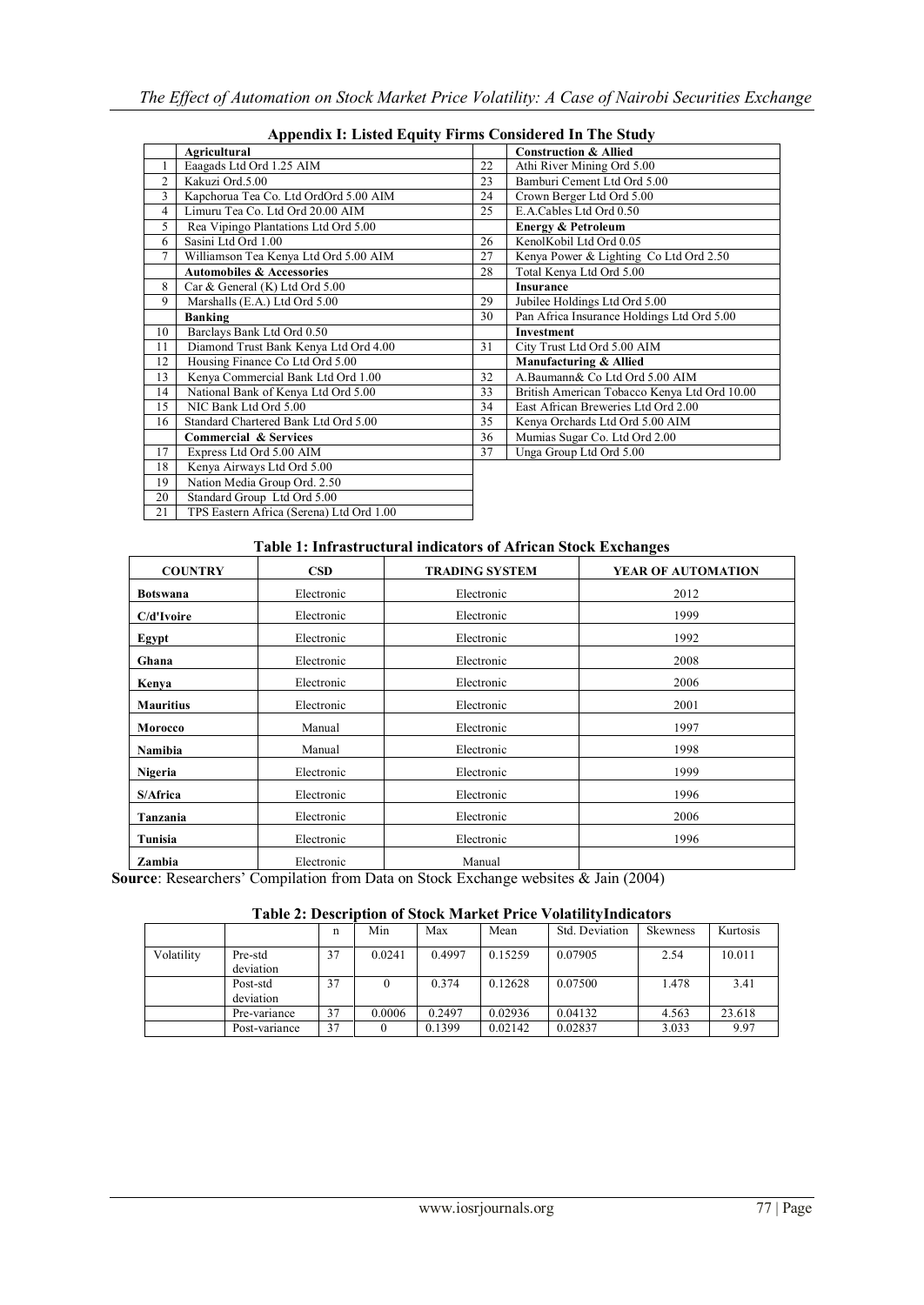|    | дррсната г. еляса едину гиппя сонятастса не тис эндау |    |                                              |  |  |  |  |  |
|----|-------------------------------------------------------|----|----------------------------------------------|--|--|--|--|--|
|    | <b>Agricultural</b>                                   |    | <b>Construction &amp; Allied</b>             |  |  |  |  |  |
|    | Eaagads Ltd Ord 1.25 AIM                              | 22 | Athi River Mining Ord 5.00                   |  |  |  |  |  |
| 2  | Kakuzi Ord.5.00                                       | 23 | Bamburi Cement Ltd Ord 5.00                  |  |  |  |  |  |
| 3  | Kapchorua Tea Co. Ltd OrdOrd 5.00 AIM                 | 24 | Crown Berger Ltd Ord 5.00                    |  |  |  |  |  |
| 4  | Limuru Tea Co. Ltd Ord 20.00 AIM                      | 25 | E.A.Cables Ltd Ord 0.50                      |  |  |  |  |  |
| 5  | Rea Vipingo Plantations Ltd Ord 5.00                  |    | <b>Energy &amp; Petroleum</b>                |  |  |  |  |  |
| 6  | Sasini Ltd Ord 1.00                                   | 26 | KenolKobil Ltd Ord 0.05                      |  |  |  |  |  |
|    | Williamson Tea Kenya Ltd Ord 5.00 AIM                 | 27 | Kenya Power & Lighting Co Ltd Ord 2.50       |  |  |  |  |  |
|    | <b>Automobiles &amp; Accessories</b>                  | 28 | Total Kenya Ltd Ord 5.00                     |  |  |  |  |  |
| 8  | Car & General (K) Ltd Ord 5.00                        |    | <b>Insurance</b>                             |  |  |  |  |  |
| 9  | Marshalls (E.A.) Ltd Ord 5.00                         | 29 | Jubilee Holdings Ltd Ord 5.00                |  |  |  |  |  |
|    | <b>Banking</b>                                        | 30 | Pan Africa Insurance Holdings Ltd Ord 5.00   |  |  |  |  |  |
| 10 | Barclays Bank Ltd Ord 0.50                            |    | Investment                                   |  |  |  |  |  |
|    |                                                       |    |                                              |  |  |  |  |  |
| 11 | Diamond Trust Bank Kenya Ltd Ord 4.00                 | 31 | City Trust Ltd Ord 5.00 AIM                  |  |  |  |  |  |
| 12 | Housing Finance Co Ltd Ord 5.00                       |    | Manufacturing & Allied                       |  |  |  |  |  |
| 13 | Kenya Commercial Bank Ltd Ord 1.00                    | 32 | A.Baumann& Co Ltd Ord 5.00 AIM               |  |  |  |  |  |
| 14 | National Bank of Kenya Ltd Ord 5.00                   | 33 | British American Tobacco Kenya Ltd Ord 10.00 |  |  |  |  |  |
| 15 | NIC Bank Ltd Ord 5.00                                 | 34 | East African Breweries Ltd Ord 2.00          |  |  |  |  |  |
| 16 | Standard Chartered Bank Ltd Ord 5.00                  | 35 | Kenya Orchards Ltd Ord 5.00 AIM              |  |  |  |  |  |
|    | <b>Commercial &amp; Services</b>                      | 36 | Mumias Sugar Co. Ltd Ord 2.00                |  |  |  |  |  |
| 17 | Express Ltd Ord 5.00 AIM                              | 37 | Unga Group Ltd Ord 5.00                      |  |  |  |  |  |
| 18 | Kenya Airways Ltd Ord 5.00                            |    |                                              |  |  |  |  |  |
| 19 | Nation Media Group Ord. 2.50                          |    |                                              |  |  |  |  |  |
| 20 | Standard Group Ltd Ord 5.00                           |    |                                              |  |  |  |  |  |

# **Appendix I: Listed Equity Firms Considered In The Study**

# **Table 1: Infrastructural indicators of African Stock Exchanges**

| <b>COUNTRY</b>                  | CSD                                                 | <b>TRADING SYSTEM</b>                                                | YEAR OF AUTOMATION                        |
|---------------------------------|-----------------------------------------------------|----------------------------------------------------------------------|-------------------------------------------|
| <b>Botswana</b>                 | Electronic<br>Electronic                            |                                                                      | 2012                                      |
| C/d'Ivoire                      | Electronic                                          | Electronic                                                           | 1999                                      |
| Electronic<br>Egypt             |                                                     | Electronic                                                           | 1992                                      |
| Electronic<br>Ghana             |                                                     | Electronic                                                           | 2008                                      |
| Electronic<br>Kenya             |                                                     | Electronic                                                           | 2006                                      |
| <b>Mauritius</b>                | Electronic                                          | Electronic                                                           | 2001                                      |
| Morocco                         | Manual                                              | Electronic                                                           | 1997                                      |
| Namibia                         | Manual                                              | Electronic                                                           | 1998                                      |
| <b>Nigeria</b>                  | Electronic                                          | Electronic                                                           | 1999                                      |
| S/Africa                        | Electronic                                          | Electronic                                                           | 1996                                      |
| Tanzania<br>Electronic          |                                                     | Electronic                                                           | 2006                                      |
| Tunisia                         | Electronic                                          | Electronic                                                           | 1996                                      |
| Zambia<br>$\sim$<br>$\sim$<br>- | Electronic<br>$\sim$ $\sim$ $\sim$<br>$\sim$ $\sim$ | Manual<br>$\sim$ $\sim$ $\sim$ $\sim$<br>$\sim$ $\sim$ $\sim$ $\sim$ | $\alpha + \beta + \beta + \alpha + \beta$ |

**Source**: Researchers' Compilation from Data on Stock Exchange websites & Jain (2004)

### **Table 2: Description of Stock Market Price VolatilityIndicators**

|            |                       | n  | Min    | Max    | Mean    | Std. Deviation | <b>Skewness</b> | Kurtosis |
|------------|-----------------------|----|--------|--------|---------|----------------|-----------------|----------|
| Volatility | Pre-std<br>deviation  | 37 | 0.0241 | 0.4997 | 0.15259 | 0.07905        | 2.54            | 10.011   |
|            | Post-std<br>deviation | 37 |        | 0.374  | 0.12628 | 0.07500        | 1.478           | 3.41     |
|            | Pre-variance          | 37 | 0.0006 | 0.2497 | 0.02936 | 0.04132        | 4.563           | 23.618   |
|            | Post-variance         | 37 |        | 0.1399 | 0.02142 | 0.02837        | 3.033           | 9.97     |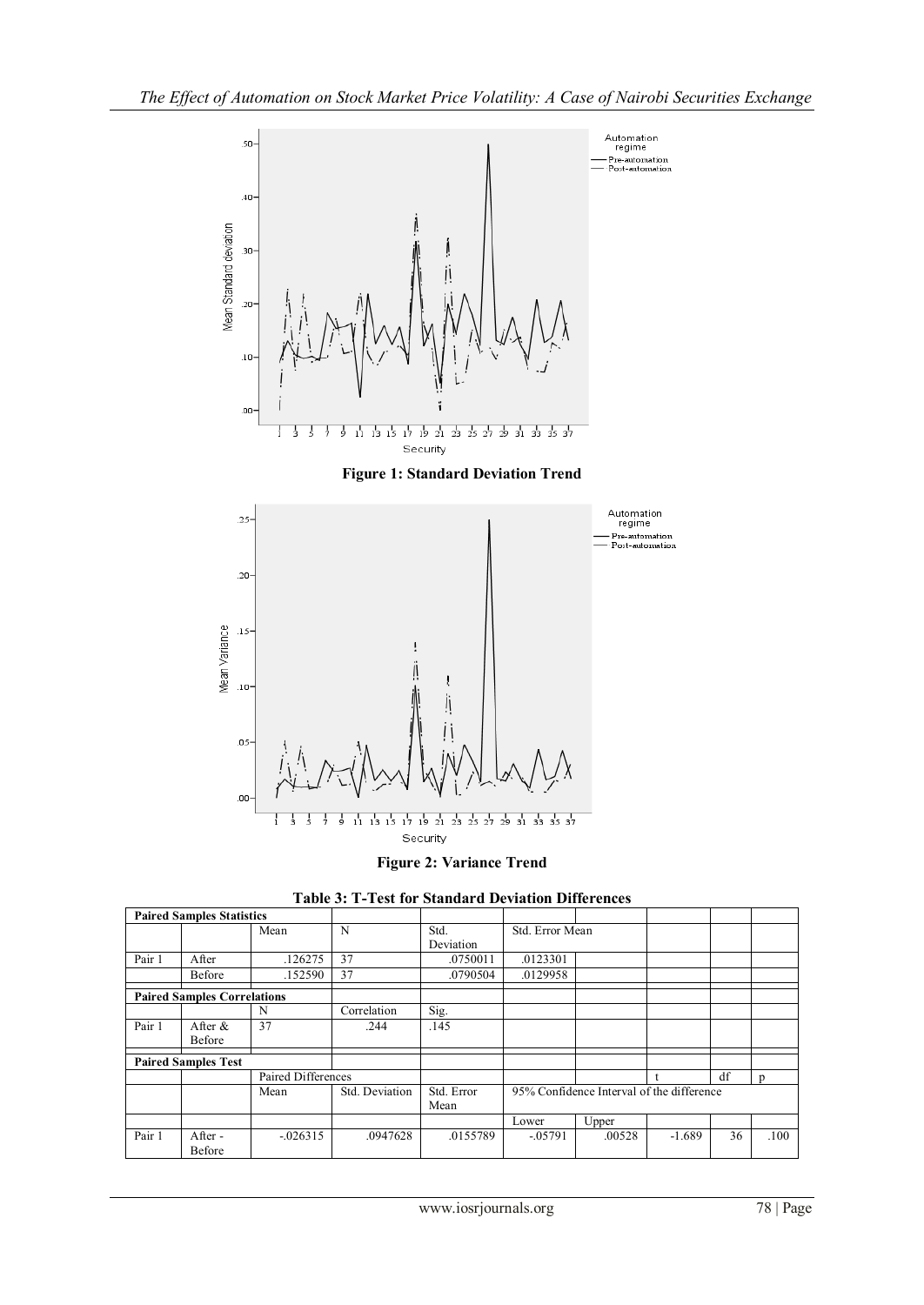

**Figure 1: Standard Deviation Trend**



**Figure 2: Variance Trend**



| <b>Paired Samples Statistics</b> |                                    |             |                |                    |                                           |        |          |    |              |
|----------------------------------|------------------------------------|-------------|----------------|--------------------|-------------------------------------------|--------|----------|----|--------------|
|                                  |                                    | Mean        | N              | Std.<br>Deviation  | Std. Error Mean                           |        |          |    |              |
| Pair 1                           | After                              | .126275     | 37             | .0750011           | .0123301                                  |        |          |    |              |
|                                  | Before                             | .152590     | 37             | .0790504           | .0129958                                  |        |          |    |              |
|                                  | <b>Paired Samples Correlations</b> |             |                |                    |                                           |        |          |    |              |
|                                  |                                    | N           | Correlation    | Sig.               |                                           |        |          |    |              |
| Pair 1                           | After &<br>Before                  | 37          | .244           | .145               |                                           |        |          |    |              |
|                                  | <b>Paired Samples Test</b>         |             |                |                    |                                           |        |          |    |              |
|                                  | Paired Differences                 |             |                |                    |                                           |        |          | df | <sub>n</sub> |
|                                  | Mean                               |             | Std. Deviation | Std. Error<br>Mean | 95% Confidence Interval of the difference |        |          |    |              |
|                                  |                                    |             |                |                    | Lower                                     | Upper  |          |    |              |
| Pair 1                           | After -<br>Before                  | $-0.026315$ | .0947628       | .0155789           | $-0.05791$                                | .00528 | $-1.689$ | 36 | .100         |